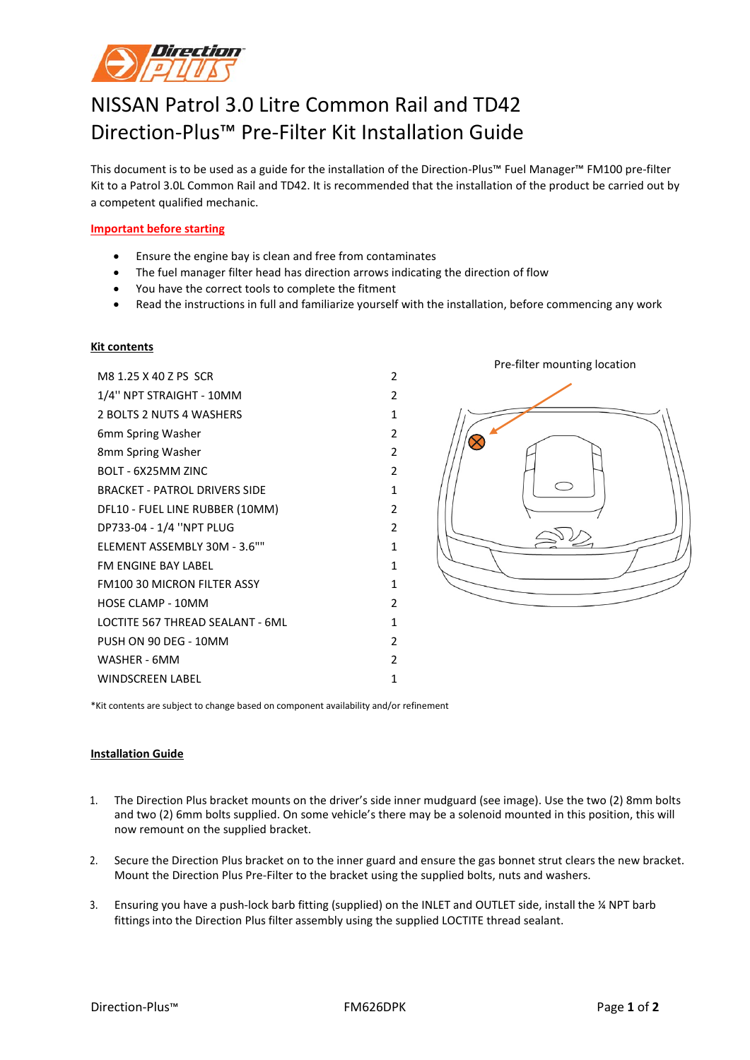

## NISSAN Patrol 3.0 Litre Common Rail and TD42 Direction-Plus™ Pre-Filter Kit Installation Guide

This document is to be used as a guide for the installation of the Direction-Plus™ Fuel Manager™ FM100 pre-filter Kit to a Patrol 3.0L Common Rail and TD42. It is recommended that the installation of the product be carried out by a competent qualified mechanic.

## **Important before starting**

- Ensure the engine bay is clean and free from contaminates
- The fuel manager filter head has direction arrows indicating the direction of flow
- You have the correct tools to complete the fitment
- Read the instructions in full and familiarize yourself with the installation, before commencing any work

## **Kit contents**

M8 1.25 X 40 Z PS SCR 2 1/4'' NPT STRAIGHT - 10MM 2 2 BOLTS 2 NUTS 4 WASHERS 1 6mm Spring Washer 2 8mm Spring Washer 2 BOLT - 6X25MM ZINC 2 BRACKET - PATROL DRIVERS SIDE 1 DFL10 - FUEL LINE RUBBER (10MM) 2 DP733-04 - 1/4 ''NPT PLUG 2 ELEMENT ASSEMBLY 30M - 3.6"" 1 FM ENGINE BAY LABEL 1 FM100 30 MICRON FILTER ASSY 1 HOSE CLAMP - 10MM 2 LOCTITE 567 THREAD SEALANT - 6ML 1 PUSH ON 90 DEG - 10MM 2 WASHER - 6MM 2 WINDSCREEN LABEL 1 1



\*Kit contents are subject to change based on component availability and/or refinement

## **Installation Guide**

- 1. The Direction Plus bracket mounts on the driver's side inner mudguard (see image). Use the two (2) 8mm bolts and two (2) 6mm bolts supplied. On some vehicle's there may be a solenoid mounted in this position, this will now remount on the supplied bracket.
- 2. Secure the Direction Plus bracket on to the inner guard and ensure the gas bonnet strut clears the new bracket. Mount the Direction Plus Pre-Filter to the bracket using the supplied bolts, nuts and washers.
- 3. Ensuring you have a push-lock barb fitting (supplied) on the INLET and OUTLET side, install the ¼ NPT barb fittings into the Direction Plus filter assembly using the supplied LOCTITE thread sealant.